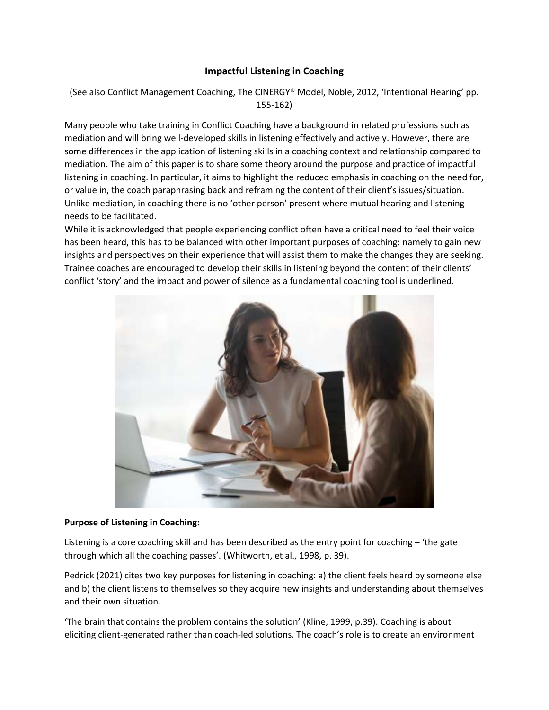# **Impactful Listening in Coaching**

(See also Conflict Management Coaching, The CINERGY® Model, Noble, 2012, 'Intentional Hearing' pp. 155-162)

Many people who take training in Conflict Coaching have a background in related professions such as mediation and will bring well-developed skills in listening effectively and actively. However, there are some differences in the application of listening skills in a coaching context and relationship compared to mediation. The aim of this paper is to share some theory around the purpose and practice of impactful listening in coaching. In particular, it aims to highlight the reduced emphasis in coaching on the need for, or value in, the coach paraphrasing back and reframing the content of their client's issues/situation. Unlike mediation, in coaching there is no 'other person' present where mutual hearing and listening needs to be facilitated.

While it is acknowledged that people experiencing conflict often have a critical need to feel their voice has been heard, this has to be balanced with other important purposes of coaching: namely to gain new insights and perspectives on their experience that will assist them to make the changes they are seeking. Trainee coaches are encouraged to develop their skills in listening beyond the content of their clients' conflict 'story' and the impact and power of silence as a fundamental coaching tool is underlined.



### **Purpose of Listening in Coaching:**

Listening is a core coaching skill and has been described as the entry point for coaching – 'the gate through which all the coaching passes'. (Whitworth, et al., 1998, p. 39).

Pedrick (2021) cites two key purposes for listening in coaching: a) the client feels heard by someone else and b) the client listens to themselves so they acquire new insights and understanding about themselves and their own situation.

'The brain that contains the problem contains the solution' (Kline, 1999, p.39). Coaching is about eliciting client-generated rather than coach-led solutions. The coach's role is to create an environment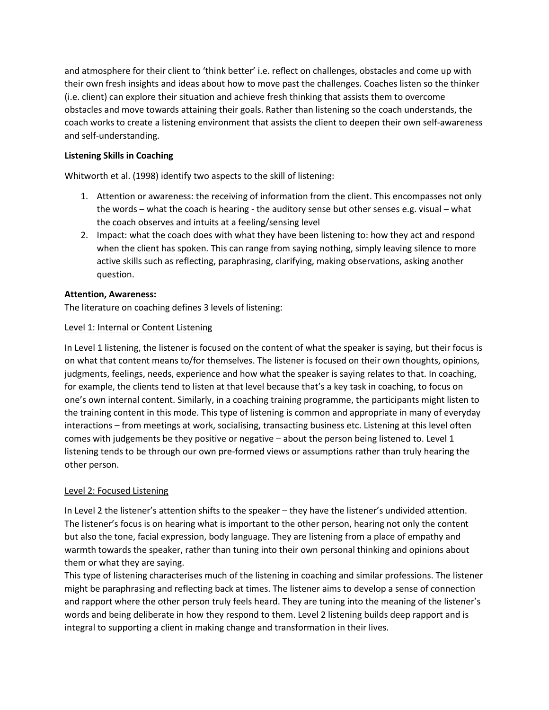and atmosphere for their client to 'think better' i.e. reflect on challenges, obstacles and come up with their own fresh insights and ideas about how to move past the challenges. Coaches listen so the thinker (i.e. client) can explore their situation and achieve fresh thinking that assists them to overcome obstacles and move towards attaining their goals. Rather than listening so the coach understands, the coach works to create a listening environment that assists the client to deepen their own self-awareness and self-understanding.

# **Listening Skills in Coaching**

Whitworth et al. (1998) identify two aspects to the skill of listening:

- 1. Attention or awareness: the receiving of information from the client. This encompasses not only the words – what the coach is hearing - the auditory sense but other senses e.g. visual – what the coach observes and intuits at a feeling/sensing level
- 2. Impact: what the coach does with what they have been listening to: how they act and respond when the client has spoken. This can range from saying nothing, simply leaving silence to more active skills such as reflecting, paraphrasing, clarifying, making observations, asking another question.

## **Attention, Awareness:**

The literature on coaching defines 3 levels of listening:

## Level 1: Internal or Content Listening

In Level 1 listening, the listener is focused on the content of what the speaker is saying, but their focus is on what that content means to/for themselves. The listener is focused on their own thoughts, opinions, judgments, feelings, needs, experience and how what the speaker is saying relates to that. In coaching, for example, the clients tend to listen at that level because that's a key task in coaching, to focus on one's own internal content. Similarly, in a coaching training programme, the participants might listen to the training content in this mode. This type of listening is common and appropriate in many of everyday interactions – from meetings at work, socialising, transacting business etc. Listening at this level often comes with judgements be they positive or negative – about the person being listened to. Level 1 listening tends to be through our own pre-formed views or assumptions rather than truly hearing the other person.

## Level 2: Focused Listening

In Level 2 the listener's attention shifts to the speaker – they have the listener's undivided attention. The listener's focus is on hearing what is important to the other person, hearing not only the content but also the tone, facial expression, body language. They are listening from a place of empathy and warmth towards the speaker, rather than tuning into their own personal thinking and opinions about them or what they are saying.

This type of listening characterises much of the listening in coaching and similar professions. The listener might be paraphrasing and reflecting back at times. The listener aims to develop a sense of connection and rapport where the other person truly feels heard. They are tuning into the meaning of the listener's words and being deliberate in how they respond to them. Level 2 listening builds deep rapport and is integral to supporting a client in making change and transformation in their lives.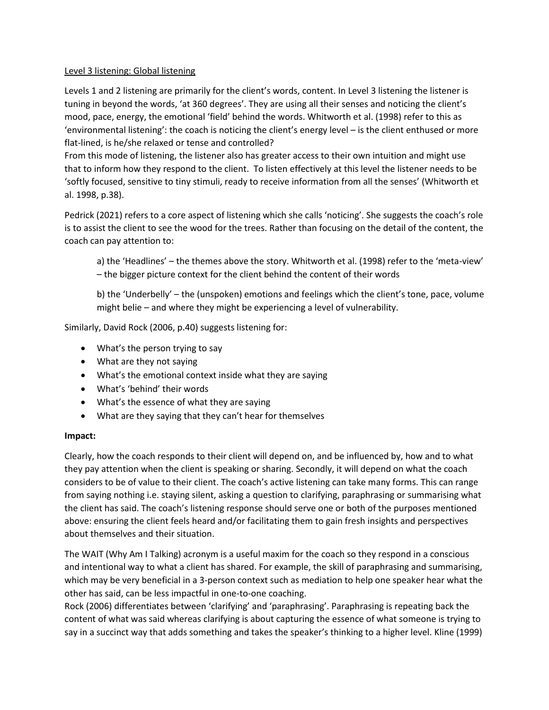### Level 3 listening: Global listening

Levels 1 and 2 listening are primarily for the client's words, content. In Level 3 listening the listener is tuning in beyond the words, 'at 360 degrees'. They are using all their senses and noticing the client's mood, pace, energy, the emotional 'field' behind the words. Whitworth et al. (1998) refer to this as 'environmental listening': the coach is noticing the client's energy level – is the client enthused or more flat-lined, is he/she relaxed or tense and controlled?

From this mode of listening, the listener also has greater access to their own intuition and might use that to inform how they respond to the client. To listen effectively at this level the listener needs to be 'softly focused, sensitive to tiny stimuli, ready to receive information from all the senses' (Whitworth et al. 1998, p.38).

Pedrick (2021) refers to a core aspect of listening which she calls 'noticing'. She suggests the coach's role is to assist the client to see the wood for the trees. Rather than focusing on the detail of the content, the coach can pay attention to:

a) the 'Headlines' – the themes above the story. Whitworth et al. (1998) refer to the 'meta-view' – the bigger picture context for the client behind the content of their words

b) the 'Underbelly' – the (unspoken) emotions and feelings which the client's tone, pace, volume might belie – and where they might be experiencing a level of vulnerability.

Similarly, David Rock (2006, p.40) suggests listening for:

- What's the person trying to say
- What are they not saying
- What's the emotional context inside what they are saying
- What's 'behind' their words
- What's the essence of what they are saying
- What are they saying that they can't hear for themselves

#### **Impact:**

Clearly, how the coach responds to their client will depend on, and be influenced by, how and to what they pay attention when the client is speaking or sharing. Secondly, it will depend on what the coach considers to be of value to their client. The coach's active listening can take many forms. This can range from saying nothing i.e. staying silent, asking a question to clarifying, paraphrasing or summarising what the client has said. The coach's listening response should serve one or both of the purposes mentioned above: ensuring the client feels heard and/or facilitating them to gain fresh insights and perspectives about themselves and their situation.

The WAIT (Why Am I Talking) acronym is a useful maxim for the coach so they respond in a conscious and intentional way to what a client has shared. For example, the skill of paraphrasing and summarising, which may be very beneficial in a 3-person context such as mediation to help one speaker hear what the other has said, can be less impactful in one-to-one coaching.

Rock (2006) differentiates between 'clarifying' and 'paraphrasing'. Paraphrasing is repeating back the content of what was said whereas clarifying is about capturing the essence of what someone is trying to say in a succinct way that adds something and takes the speaker's thinking to a higher level. Kline (1999)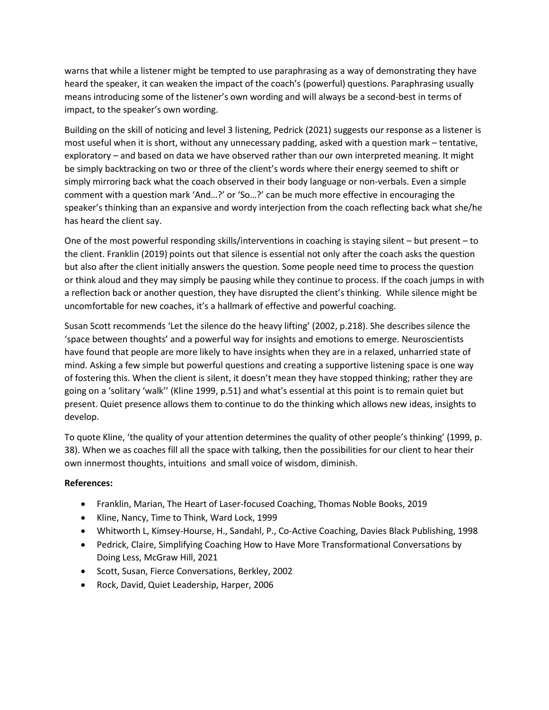warns that while a listener might be tempted to use paraphrasing as a way of demonstrating they have heard the speaker, it can weaken the impact of the coach's (powerful) questions. Paraphrasing usually means introducing some of the listener's own wording and will always be a second-best in terms of impact, to the speaker's own wording.

Building on the skill of noticing and level 3 listening, Pedrick (2021) suggests our response as a listener is most useful when it is short, without any unnecessary padding, asked with a question mark – tentative, exploratory – and based on data we have observed rather than our own interpreted meaning. It might be simply backtracking on two or three of the client's words where their energy seemed to shift or simply mirroring back what the coach observed in their body language or non-verbals. Even a simple comment with a question mark 'And…?' or 'So…?' can be much more effective in encouraging the speaker's thinking than an expansive and wordy interjection from the coach reflecting back what she/he has heard the client say.

One of the most powerful responding skills/interventions in coaching is staying silent – but present – to the client. Franklin (2019) points out that silence is essential not only after the coach asks the question but also after the client initially answers the question. Some people need time to process the question or think aloud and they may simply be pausing while they continue to process. If the coach jumps in with a reflection back or another question, they have disrupted the client's thinking. While silence might be uncomfortable for new coaches, it's a hallmark of effective and powerful coaching.

Susan Scott recommends 'Let the silence do the heavy lifting' (2002, p.218). She describes silence the 'space between thoughts' and a powerful way for insights and emotions to emerge. Neuroscientists have found that people are more likely to have insights when they are in a relaxed, unharried state of mind. Asking a few simple but powerful questions and creating a supportive listening space is one way of fostering this. When the client is silent, it doesn't mean they have stopped thinking; rather they are going on a 'solitary 'walk'' (Kline 1999, p.51) and what's essential at this point is to remain quiet but present. Quiet presence allows them to continue to do the thinking which allows new ideas, insights to develop.

To quote Kline, 'the quality of your attention determines the quality of other people's thinking' (1999, p. 38). When we as coaches fill all the space with talking, then the possibilities for our client to hear their own innermost thoughts, intuitions and small voice of wisdom, diminish.

## **References:**

- Franklin, Marian, The Heart of Laser-focused Coaching, Thomas Noble Books, 2019
- Kline, Nancy, Time to Think, Ward Lock, 1999
- Whitworth L, Kimsey-Hourse, H., Sandahl, P., Co-Active Coaching, Davies Black Publishing, 1998
- Pedrick, Claire, Simplifying Coaching How to Have More Transformational Conversations by Doing Less, McGraw Hill, 2021
- Scott, Susan, Fierce Conversations, Berkley, 2002
- Rock, David, Quiet Leadership, Harper, 2006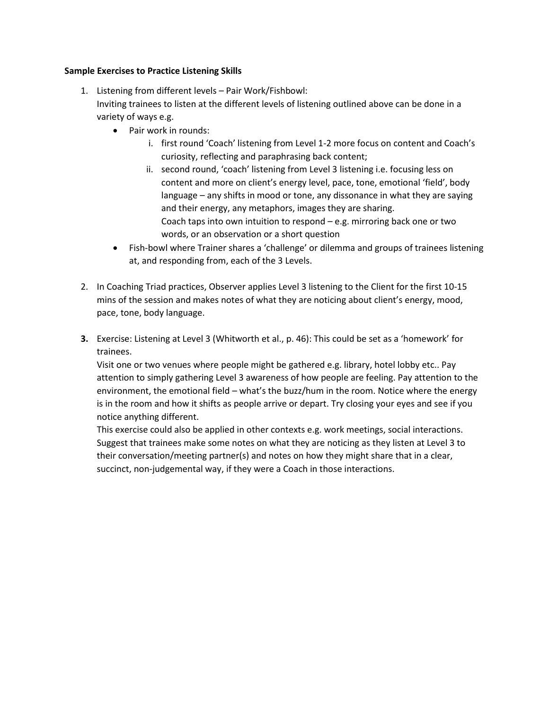### **Sample Exercises to Practice Listening Skills**

- 1. Listening from different levels Pair Work/Fishbowl: Inviting trainees to listen at the different levels of listening outlined above can be done in a variety of ways e.g.
	- Pair work in rounds:
		- i. first round 'Coach' listening from Level 1-2 more focus on content and Coach's curiosity, reflecting and paraphrasing back content;
		- ii. second round, 'coach' listening from Level 3 listening i.e. focusing less on content and more on client's energy level, pace, tone, emotional 'field', body language – any shifts in mood or tone, any dissonance in what they are saying and their energy, any metaphors, images they are sharing. Coach taps into own intuition to respond – e.g. mirroring back one or two words, or an observation or a short question
	- Fish-bowl where Trainer shares a 'challenge' or dilemma and groups of trainees listening at, and responding from, each of the 3 Levels.
- 2. In Coaching Triad practices, Observer applies Level 3 listening to the Client for the first 10-15 mins of the session and makes notes of what they are noticing about client's energy, mood, pace, tone, body language.
- **3.** Exercise: Listening at Level 3 (Whitworth et al., p. 46): This could be set as a 'homework' for trainees.

Visit one or two venues where people might be gathered e.g. library, hotel lobby etc.. Pay attention to simply gathering Level 3 awareness of how people are feeling. Pay attention to the environment, the emotional field – what's the buzz/hum in the room. Notice where the energy is in the room and how it shifts as people arrive or depart. Try closing your eyes and see if you notice anything different.

This exercise could also be applied in other contexts e.g. work meetings, social interactions. Suggest that trainees make some notes on what they are noticing as they listen at Level 3 to their conversation/meeting partner(s) and notes on how they might share that in a clear, succinct, non-judgemental way, if they were a Coach in those interactions.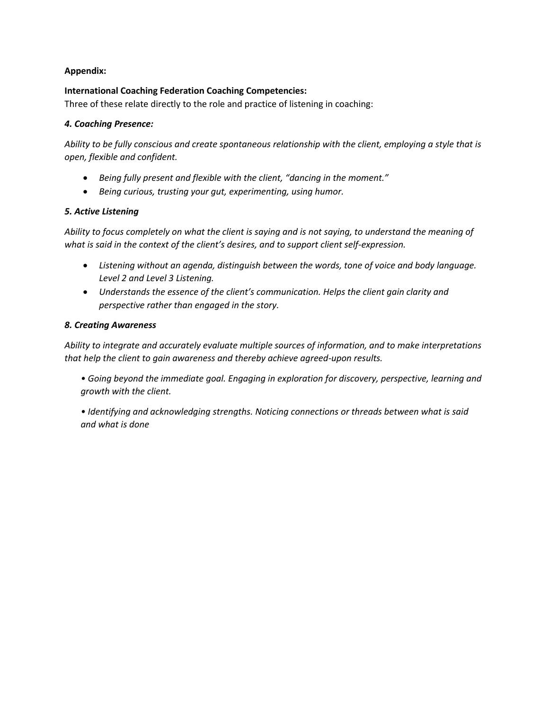### **Appendix:**

### **International Coaching Federation Coaching Competencies:**

Three of these relate directly to the role and practice of listening in coaching:

### *4. Coaching Presence:*

*Ability to be fully conscious and create spontaneous relationship with the client, employing a style that is open, flexible and confident.* 

- *Being fully present and flexible with the client, "dancing in the moment."*
- *Being curious, trusting your gut, experimenting, using humor.*

### *5. Active Listening*

*Ability to focus completely on what the client is saying and is not saying, to understand the meaning of what is said in the context of the client's desires, and to support client self-expression.* 

- *Listening without an agenda, distinguish between the words, tone of voice and body language. Level 2 and Level 3 Listening.*
- *Understands the essence of the client's communication. Helps the client gain clarity and perspective rather than engaged in the story.*

### *8. Creating Awareness*

*Ability to integrate and accurately evaluate multiple sources of information, and to make interpretations that help the client to gain awareness and thereby achieve agreed-upon results.*

*• Going beyond the immediate goal. Engaging in exploration for discovery, perspective, learning and growth with the client.*

*• Identifying and acknowledging strengths. Noticing connections or threads between what is said and what is done*